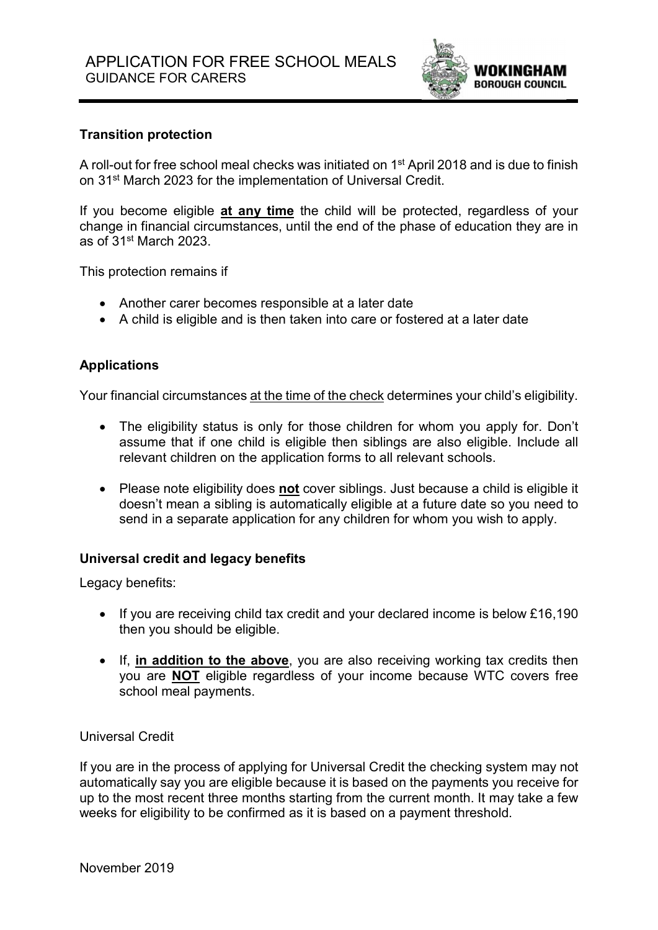

## Transition protection

A roll-out for free school meal checks was initiated on 1<sup>st</sup> April 2018 and is due to finish on 31st March 2023 for the implementation of Universal Credit.

If you become eligible at any time the child will be protected, regardless of your change in financial circumstances, until the end of the phase of education they are in as of 31st March 2023.

This protection remains if

- Another carer becomes responsible at a later date
- A child is eligible and is then taken into care or fostered at a later date

### Applications

Your financial circumstances at the time of the check determines your child's eligibility.

- The eligibility status is only for those children for whom you apply for. Don't assume that if one child is eligible then siblings are also eligible. Include all relevant children on the application forms to all relevant schools.
- Please note eligibility does not cover siblings. Just because a child is eligible it doesn't mean a sibling is automatically eligible at a future date so you need to send in a separate application for any children for whom you wish to apply.

### Universal credit and legacy benefits

Legacy benefits:

- If you are receiving child tax credit and your declared income is below £16,190 then you should be eligible.
- If, in addition to the above, you are also receiving working tax credits then you are NOT eligible regardless of your income because WTC covers free school meal payments.

#### Universal Credit

If you are in the process of applying for Universal Credit the checking system may not automatically say you are eligible because it is based on the payments you receive for up to the most recent three months starting from the current month. It may take a few weeks for eligibility to be confirmed as it is based on a payment threshold.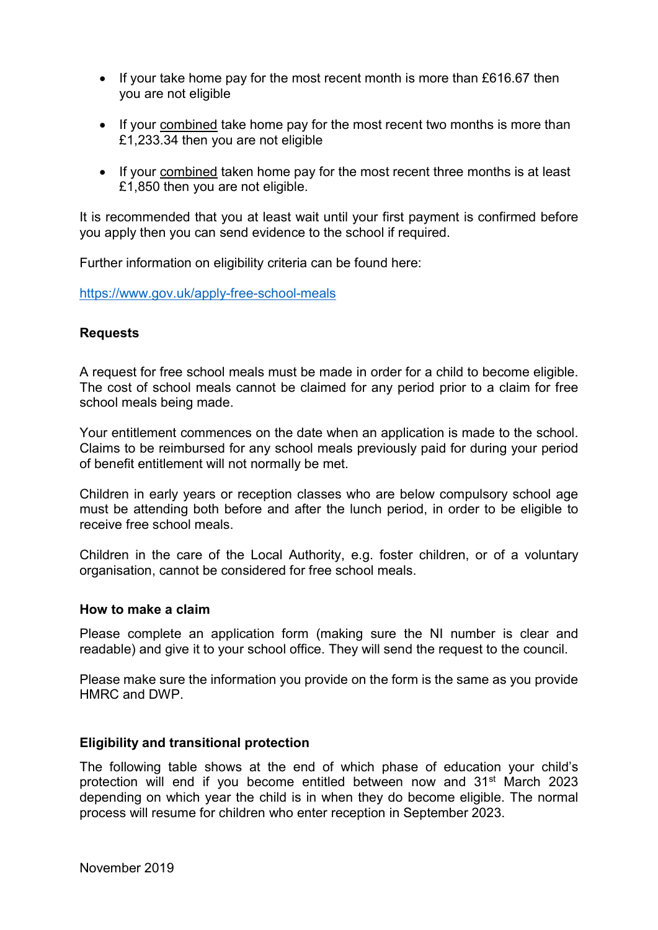- If your take home pay for the most recent month is more than £616.67 then you are not eligible
- If your combined take home pay for the most recent two months is more than £1,233.34 then you are not eligible
- If your combined taken home pay for the most recent three months is at least £1,850 then you are not eligible.

It is recommended that you at least wait until your first payment is confirmed before you apply then you can send evidence to the school if required.

Further information on eligibility criteria can be found here:

https://www.gov.uk/apply-free-school-meals

### **Requests**

A request for free school meals must be made in order for a child to become eligible. The cost of school meals cannot be claimed for any period prior to a claim for free school meals being made.

Your entitlement commences on the date when an application is made to the school. Claims to be reimbursed for any school meals previously paid for during your period of benefit entitlement will not normally be met.

Children in early years or reception classes who are below compulsory school age must be attending both before and after the lunch period, in order to be eligible to receive free school meals.

Children in the care of the Local Authority, e.g. foster children, or of a voluntary organisation, cannot be considered for free school meals.

#### How to make a claim

Please complete an application form (making sure the NI number is clear and readable) and give it to your school office. They will send the request to the council.

Please make sure the information you provide on the form is the same as you provide HMRC and DWP.

#### Eligibility and transitional protection

The following table shows at the end of which phase of education your child's protection will end if you become entitled between now and 31<sup>st</sup> March 2023 depending on which year the child is in when they do become eligible. The normal process will resume for children who enter reception in September 2023.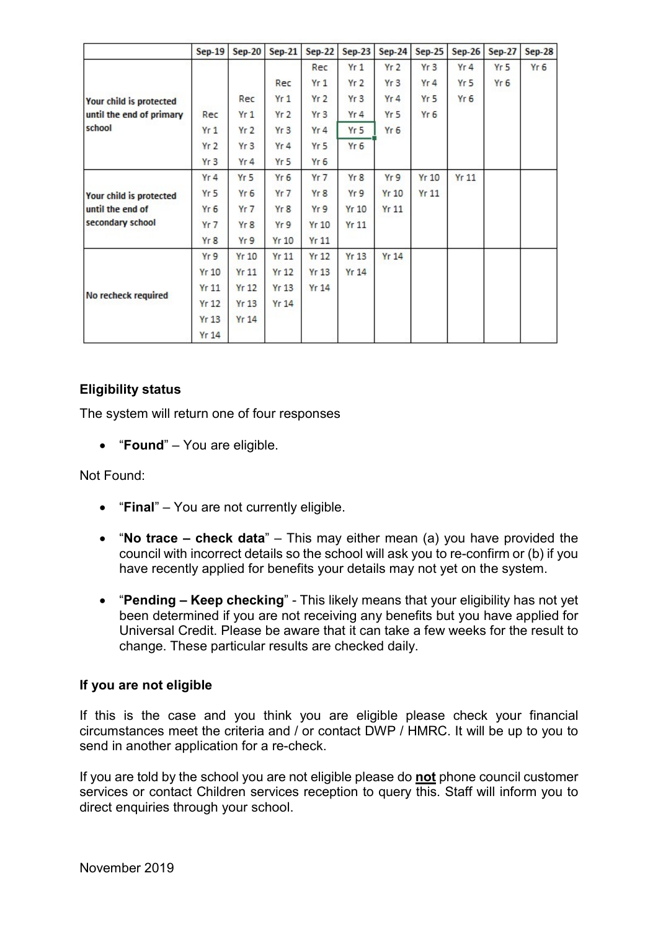|                                                                 | $Sep-19$        | <b>Sep-20</b>   | <b>Sep-21</b>    | <b>Sep-22</b>    | <b>Sep-23</b>    | $Sep-24$        | <b>Sep-25</b> | <b>Sep-26</b>   | <b>Sep-27</b>   | <b>Sep-28</b>   |
|-----------------------------------------------------------------|-----------------|-----------------|------------------|------------------|------------------|-----------------|---------------|-----------------|-----------------|-----------------|
| Your child is protected<br>until the end of primary<br>school   |                 |                 |                  | Rec              | Yr <sub>1</sub>  | Yr <sub>2</sub> | Yr3           | Yr4             | Yr <sub>5</sub> | Yr <sub>6</sub> |
|                                                                 |                 |                 | Rec              | Yr1              | Yr <sub>2</sub>  | Yr3             | Yr4           | Yr <sub>5</sub> | Yr 6            |                 |
|                                                                 |                 | Rec             | Yr1              | Yr <sub>2</sub>  | Yr <sub>3</sub>  | Yr4             | Yr 5          | Yr 6            |                 |                 |
|                                                                 | Rec             | Yr1             | Yr <sub>2</sub>  | Yr3              | Yr 4             | Yr <sub>5</sub> | Yr 6          |                 |                 |                 |
|                                                                 | Yr1             | Yr2             | Yr <sub>3</sub>  | Yr4              | Yr <sub>5</sub>  | Yr 6            |               |                 |                 |                 |
|                                                                 | Yr <sub>2</sub> | Yr3             | Yr4              | Yr <sub>5</sub>  | Yr <sub>6</sub>  |                 |               |                 |                 |                 |
|                                                                 | Yr3             | Yr4             | Yr 5             | Yr 6             |                  |                 |               |                 |                 |                 |
| Your child is protected<br>until the end of<br>secondary school | Yr <sub>4</sub> | Yr <sub>5</sub> | Yr <sub>6</sub>  | Yr 7             | Yr 8             | Yr9             | Yr10          | <b>Yr 11</b>    |                 |                 |
|                                                                 | Yr 5            | Yr <sub>6</sub> | $Yr$ 7           | Yr8              | Yr 9             | <b>Yr 10</b>    | Yr11          |                 |                 |                 |
|                                                                 | Yr 6            | $Yr$ 7          | Yr 8             | Yr 9             | Yr10             | Yr11            |               |                 |                 |                 |
|                                                                 | Yr <sub>7</sub> | Yr8             | Yr 9             | <b>Yr 10</b>     | Yr11             |                 |               |                 |                 |                 |
|                                                                 | Yr8             | Yr9             | Yr10             | Yr11             |                  |                 |               |                 |                 |                 |
| No recheck required                                             | Yr9             | $Yr$ 10         | Yr11             | Yr <sub>12</sub> | Yr <sub>13</sub> | <b>Yr 14</b>    |               |                 |                 |                 |
|                                                                 | <b>Yr 10</b>    | Yr11            | Yr <sub>12</sub> | <b>Yr 13</b>     | <b>Yr 14</b>     |                 |               |                 |                 |                 |
|                                                                 | Yr11            | <b>Yr 12</b>    | <b>Yr 13</b>     | <b>Yr 14</b>     |                  |                 |               |                 |                 |                 |
|                                                                 | Yr12            | <b>Yr 13</b>    | Yr14             |                  |                  |                 |               |                 |                 |                 |
|                                                                 | <b>Yr 13</b>    | <b>Yr 14</b>    |                  |                  |                  |                 |               |                 |                 |                 |
|                                                                 | Yr14            |                 |                  |                  |                  |                 |               |                 |                 |                 |

## Eligibility status

The system will return one of four responses

• "Found" – You are eligible.

Not Found:

- "Final" You are not currently eligible.
- "No trace check data" This may either mean (a) you have provided the council with incorrect details so the school will ask you to re-confirm or (b) if you have recently applied for benefits your details may not yet on the system.
- "Pending Keep checking" This likely means that your eligibility has not yet been determined if you are not receiving any benefits but you have applied for Universal Credit. Please be aware that it can take a few weeks for the result to change. These particular results are checked daily.

### If you are not eligible

If this is the case and you think you are eligible please check your financial circumstances meet the criteria and / or contact DWP / HMRC. It will be up to you to send in another application for a re-check.

If you are told by the school you are not eligible please do not phone council customer services or contact Children services reception to query this. Staff will inform you to direct enquiries through your school.